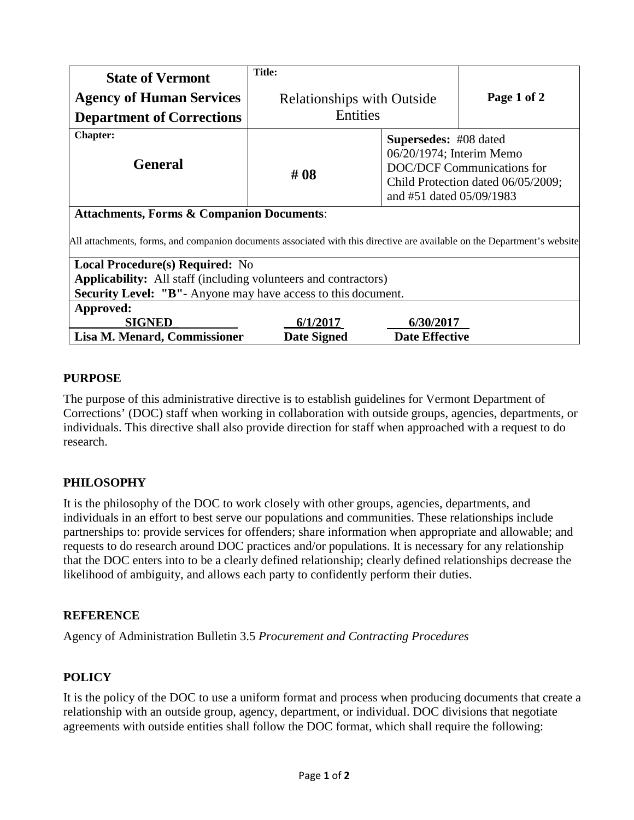| <b>State of Vermont</b>                                                                                                  | <b>Title:</b>                     |                                                                                                                                                          |             |
|--------------------------------------------------------------------------------------------------------------------------|-----------------------------------|----------------------------------------------------------------------------------------------------------------------------------------------------------|-------------|
| <b>Agency of Human Services</b>                                                                                          | <b>Relationships with Outside</b> |                                                                                                                                                          | Page 1 of 2 |
| <b>Department of Corrections</b>                                                                                         | Entities                          |                                                                                                                                                          |             |
| <b>Chapter:</b><br><b>General</b>                                                                                        | # 08                              | Supersedes: #08 dated<br>06/20/1974; Interim Memo<br><b>DOC/DCF Communications for</b><br>Child Protection dated 06/05/2009;<br>and #51 dated 05/09/1983 |             |
| <b>Attachments, Forms &amp; Companion Documents:</b>                                                                     |                                   |                                                                                                                                                          |             |
| All attachments, forms, and companion documents associated with this directive are available on the Department's website |                                   |                                                                                                                                                          |             |
| <b>Local Procedure(s) Required:</b> No                                                                                   |                                   |                                                                                                                                                          |             |
| <b>Applicability:</b> All staff (including volunteers and contractors)                                                   |                                   |                                                                                                                                                          |             |
| <b>Security Level: "B"</b> - Anyone may have access to this document.                                                    |                                   |                                                                                                                                                          |             |
| Approved:                                                                                                                |                                   |                                                                                                                                                          |             |
| <b>SIGNED</b>                                                                                                            | 6/1/2017                          | 6/30/2017                                                                                                                                                |             |
| Lisa M. Menard, Commissioner                                                                                             | <b>Date Signed</b>                | <b>Date Effective</b>                                                                                                                                    |             |

## **PURPOSE**

The purpose of this administrative directive is to establish guidelines for Vermont Department of Corrections' (DOC) staff when working in collaboration with outside groups, agencies, departments, or individuals. This directive shall also provide direction for staff when approached with a request to do research.

# **PHILOSOPHY**

It is the philosophy of the DOC to work closely with other groups, agencies, departments, and individuals in an effort to best serve our populations and communities. These relationships include partnerships to: provide services for offenders; share information when appropriate and allowable; and requests to do research around DOC practices and/or populations. It is necessary for any relationship that the DOC enters into to be a clearly defined relationship; clearly defined relationships decrease the likelihood of ambiguity, and allows each party to confidently perform their duties.

## **REFERENCE**

Agency of Administration Bulletin 3.5 *Procurement and Contracting Procedures*

## **POLICY**

It is the policy of the DOC to use a uniform format and process when producing documents that create a relationship with an outside group, agency, department, or individual. DOC divisions that negotiate agreements with outside entities shall follow the DOC format, which shall require the following: